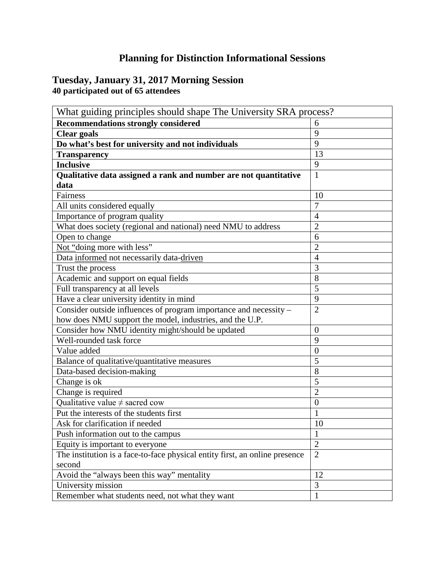## **Planning for Distinction Informational Sessions**

## **Tuesday, January 31, 2017 Morning Session 40 participated out of 65 attendees**

| What guiding principles should shape The University SRA process?            |                |  |
|-----------------------------------------------------------------------------|----------------|--|
| <b>Recommendations strongly considered</b>                                  | 6              |  |
| <b>Clear goals</b>                                                          | 9              |  |
| Do what's best for university and not individuals                           | 9              |  |
| <b>Transparency</b>                                                         | 13             |  |
| <b>Inclusive</b>                                                            | 9              |  |
| Qualitative data assigned a rank and number are not quantitative            | $\mathbf{1}$   |  |
| data                                                                        |                |  |
| Fairness                                                                    | 10             |  |
| All units considered equally                                                | $\overline{7}$ |  |
| Importance of program quality                                               | $\overline{4}$ |  |
| What does society (regional and national) need NMU to address               | $\overline{2}$ |  |
| Open to change                                                              | 6              |  |
| Not "doing more with less"                                                  | $\overline{2}$ |  |
| Data informed not necessarily data-driven                                   | $\overline{4}$ |  |
| Trust the process                                                           | 3              |  |
| Academic and support on equal fields                                        | 8              |  |
| Full transparency at all levels                                             | 5              |  |
| Have a clear university identity in mind                                    | 9              |  |
| Consider outside influences of program importance and necessity -           | $\overline{2}$ |  |
| how does NMU support the model, industries, and the U.P.                    |                |  |
| Consider how NMU identity might/should be updated                           | $\overline{0}$ |  |
| Well-rounded task force                                                     | 9              |  |
| Value added                                                                 | $\overline{0}$ |  |
| Balance of qualitative/quantitative measures                                | 5              |  |
| Data-based decision-making                                                  | 8              |  |
| Change is ok                                                                | 5              |  |
| Change is required                                                          | $\overline{2}$ |  |
| Qualitative value $\neq$ sacred cow                                         | $\overline{0}$ |  |
| Put the interests of the students first                                     | 1              |  |
| Ask for clarification if needed                                             | 10             |  |
| Push information out to the campus                                          | $\,1\,$        |  |
| Equity is important to everyone                                             | $\overline{2}$ |  |
| The institution is a face-to-face physical entity first, an online presence | $\overline{2}$ |  |
| second                                                                      |                |  |
| Avoid the "always been this way" mentality                                  | 12             |  |
| University mission                                                          | $\mathfrak{Z}$ |  |
| Remember what students need, not what they want                             | $\mathbf{1}$   |  |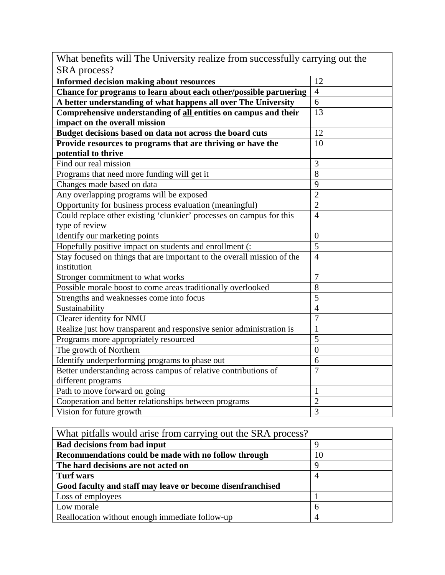| Thur concilities with The Only crisity Teamer Home successionally       |                |  |
|-------------------------------------------------------------------------|----------------|--|
| SRA process?                                                            |                |  |
| <b>Informed decision making about resources</b>                         | 12             |  |
| Chance for programs to learn about each other/possible partnering       | $\overline{4}$ |  |
| A better understanding of what happens all over The University          | 6              |  |
| Comprehensive understanding of all entities on campus and their         | 13             |  |
| impact on the overall mission                                           |                |  |
| Budget decisions based on data not across the board cuts                | 12             |  |
| Provide resources to programs that are thriving or have the             | 10             |  |
| potential to thrive                                                     |                |  |
| Find our real mission                                                   | 3              |  |
| Programs that need more funding will get it                             | 8              |  |
| Changes made based on data                                              | $\overline{9}$ |  |
| Any overlapping programs will be exposed                                | $\overline{2}$ |  |
| Opportunity for business process evaluation (meaningful)                | $\overline{2}$ |  |
| Could replace other existing 'clunkier' processes on campus for this    | $\overline{4}$ |  |
| type of review                                                          |                |  |
| Identify our marketing points                                           | $\mathbf{0}$   |  |
| Hopefully positive impact on students and enrollment (:                 | $\overline{5}$ |  |
| Stay focused on things that are important to the overall mission of the | $\overline{4}$ |  |
| institution                                                             |                |  |
| Stronger commitment to what works                                       | $\overline{7}$ |  |
| Possible morale boost to come areas traditionally overlooked            | 8              |  |
| Strengths and weaknesses come into focus                                | 5              |  |
| Sustainability                                                          | $\overline{4}$ |  |
| Clearer identity for NMU                                                | $\overline{7}$ |  |
| Realize just how transparent and responsive senior administration is    | $\mathbf{1}$   |  |
| Programs more appropriately resourced                                   | 5              |  |
| The growth of Northern                                                  | $\theta$       |  |
| Identify underperforming programs to phase out                          | 6              |  |
| Better understanding across campus of relative contributions of         | $\overline{7}$ |  |
| different programs                                                      |                |  |
| Path to move forward on going                                           | $\mathbf{1}$   |  |
| Cooperation and better relationships between programs                   | $\overline{2}$ |  |
| Vision for future growth                                                | $\overline{3}$ |  |

| What benefits will The University realize from successfully carrying out the |  |  |
|------------------------------------------------------------------------------|--|--|
| SRA process?                                                                 |  |  |

ヿ

| What pitfalls would arise from carrying out the SRA process? |    |
|--------------------------------------------------------------|----|
| <b>Bad decisions from bad input</b>                          |    |
| Recommendations could be made with no follow through         | 10 |
| The hard decisions are not acted on                          | Q  |
| <b>Turf</b> wars                                             |    |
| Good faculty and staff may leave or become disenfranchised   |    |
| Loss of employees                                            |    |
| Low morale                                                   | 6  |
| Reallocation without enough immediate follow-up              |    |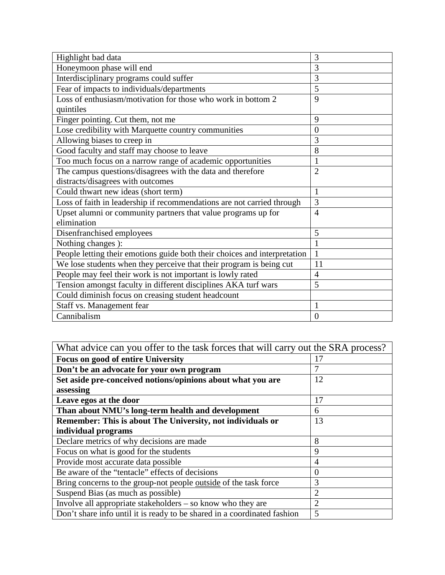| Highlight bad data                                                        | 3              |
|---------------------------------------------------------------------------|----------------|
| Honeymoon phase will end                                                  | 3              |
| Interdisciplinary programs could suffer                                   | $\overline{3}$ |
| Fear of impacts to individuals/departments                                | 5              |
| Loss of enthusiasm/motivation for those who work in bottom 2              | 9              |
| quintiles                                                                 |                |
| Finger pointing. Cut them, not me                                         | 9              |
| Lose credibility with Marquette country communities                       | $\overline{0}$ |
| Allowing biases to creep in                                               | 3              |
| Good faculty and staff may choose to leave                                | $\overline{8}$ |
| Too much focus on a narrow range of academic opportunities                | $\mathbf{1}$   |
| The campus questions/disagrees with the data and therefore                | $\overline{2}$ |
| distracts/disagrees with outcomes                                         |                |
| Could thwart new ideas (short term)                                       | $\mathbf{1}$   |
| Loss of faith in leadership if recommendations are not carried through    | 3              |
| Upset alumni or community partners that value programs up for             | $\overline{4}$ |
| elimination                                                               |                |
| Disenfranchised employees                                                 | 5              |
| Nothing changes ):                                                        | $\mathbf{1}$   |
| People letting their emotions guide both their choices and interpretation | $\mathbf{1}$   |
| We lose students when they perceive that their program is being cut       | 11             |
| People may feel their work is not important is lowly rated                | $\overline{4}$ |
| Tension amongst faculty in different disciplines AKA turf wars            | 5              |
| Could diminish focus on creasing student headcount                        |                |
| Staff vs. Management fear                                                 | $\mathbf{1}$   |
| Cannibalism                                                               | $\overline{0}$ |

| What advice can you offer to the task forces that will carry out the SRA process? |                |
|-----------------------------------------------------------------------------------|----------------|
| <b>Focus on good of entire University</b>                                         | 17             |
| Don't be an advocate for your own program                                         |                |
| Set aside pre-conceived notions/opinions about what you are                       | 12             |
| assessing                                                                         |                |
| Leave egos at the door                                                            | 17             |
| Than about NMU's long-term health and development                                 | 6              |
| Remember: This is about The University, not individuals or                        | 13             |
| individual programs                                                               |                |
| Declare metrics of why decisions are made                                         | 8              |
| Focus on what is good for the students                                            | 9              |
| Provide most accurate data possible                                               | $\overline{4}$ |
| Be aware of the "tentacle" effects of decisions                                   | $\overline{0}$ |
| Bring concerns to the group-not people <u>outside</u> of the task force           | 3              |
| Suspend Bias (as much as possible)                                                | $\overline{2}$ |
| Involve all appropriate stakeholders – so know who they are                       | $\overline{2}$ |
| Don't share info until it is ready to be shared in a coordinated fashion          | 5              |